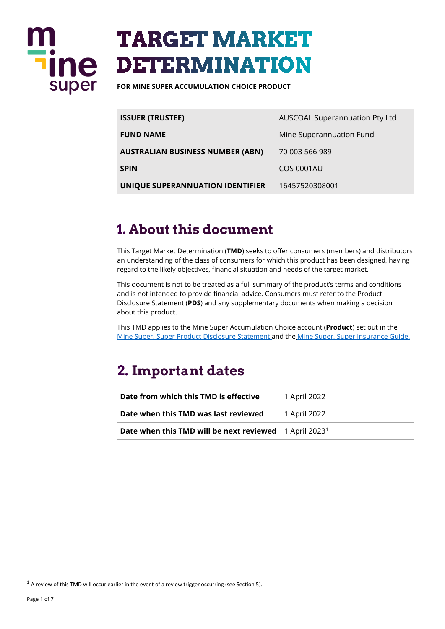

# **TARGET MARKET DETERMINATION**

**FOR MINE SUPER ACCUMULATION CHOICE PRODUCT** 

| <b>ISSUER (TRUSTEE)</b>          | AUSCOAL Superannuation Pty Ltd |
|----------------------------------|--------------------------------|
| <b>FUND NAME</b>                 | Mine Superannuation Fund       |
| AUSTRALIAN BUSINESS NUMBER (ABN) | 70 003 566 989                 |
| SPIN                             | <b>COS 0001AU</b>              |
| UNIQUE SUPERANNUATION IDENTIFIER | 16457520308001                 |

### **1. About this document**

This Target Market Determination (**TMD**) seeks to offer consumers (members) and distributors an understanding of the class of consumers for which this product has been designed, having regard to the likely objectives, financial situation and needs of the target market.

This document is not to be treated as a full summary of the product's terms and conditions and is not intended to provide financial advice. Consumers must refer to the Product Disclosure Statement (**PDS**) and any supplementary documents when making a decision about this product.

This TMD applies to the Mine Super Accumulation Choice account (**Product**) set out in the [Mine Super, Super Product Disclosure Statement a](https://www.mine.com.au/docs/default-source/publications/super-pds-plus-info-sheets.pdf?sfvrsn=9d89f63c_46)nd the [Mine Super, Super Insurance Guide.](https://www.mine.com.au/docs/default-source/publications/super-insurance-guide.pdf?sfvrsn=b8acf63c_20)

### **2. Important dates**

| Date from which this TMD is effective                                     | 1 April 2022 |
|---------------------------------------------------------------------------|--------------|
| Date when this TMD was last reviewed                                      | 1 April 2022 |
| <b>Date when this TMD will be next reviewed</b> 1 April 2023 <sup>1</sup> |              |

<span id="page-0-0"></span> $1$  A review of this TMD will occur earlier in the event of a review trigger occurring (see Section 5).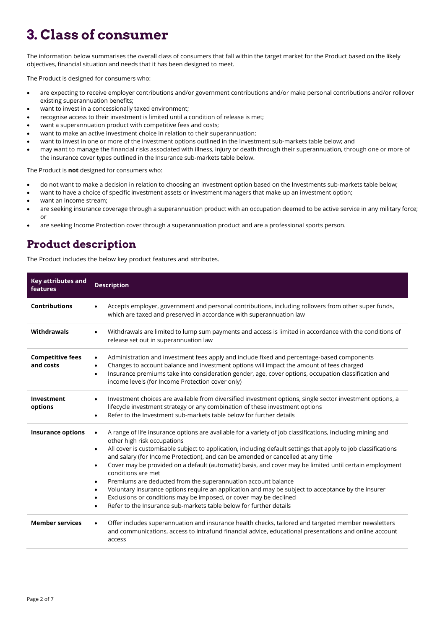### **3. Class of consumer**

The information below summarises the overall class of consumers that fall within the target market for the Product based on the likely objectives, financial situation and needs that it has been designed to meet.

The Product is designed for consumers who:

- are expecting to receive employer contributions and/or government contributions and/or make personal contributions and/or rollover existing superannuation benefits;
- want to invest in a concessionally taxed environment;
- recognise access to their investment is limited until a condition of release is met;
- want a superannuation product with competitive fees and costs;
- want to make an active investment choice in relation to their superannuation;
- want to invest in one or more of the investment options outlined in the Investment sub-markets table below; and
- may want to manage the financial risks associated with illness, injury or death through their superannuation, through one or more of the insurance cover types outlined in the Insurance sub-markets table below.

The Product is **not** designed for consumers who:

- do not want to make a decision in relation to choosing an investment option based on the Investments sub-markets table below;
- want to have a choice of specific investment assets or investment managers that make up an investment option;
- want an income stream;
- are seeking insurance coverage through a superannuation product with an occupation deemed to be active service in any military force; or
- are seeking Income Protection cover through a superannuation product and are a professional sports person.

#### **Product description**

The Product includes the below key product features and attributes.

| <b>Key attributes and</b><br>features | <b>Description</b>                                                                                                                                                                                                                                                                                                                                                                                                                                                                                                                                                                                                                                                                                                                                                                                                                         |
|---------------------------------------|--------------------------------------------------------------------------------------------------------------------------------------------------------------------------------------------------------------------------------------------------------------------------------------------------------------------------------------------------------------------------------------------------------------------------------------------------------------------------------------------------------------------------------------------------------------------------------------------------------------------------------------------------------------------------------------------------------------------------------------------------------------------------------------------------------------------------------------------|
| <b>Contributions</b>                  | Accepts employer, government and personal contributions, including rollovers from other super funds,<br>which are taxed and preserved in accordance with superannuation law                                                                                                                                                                                                                                                                                                                                                                                                                                                                                                                                                                                                                                                                |
| Withdrawals                           | Withdrawals are limited to lump sum payments and access is limited in accordance with the conditions of<br>release set out in superannuation law                                                                                                                                                                                                                                                                                                                                                                                                                                                                                                                                                                                                                                                                                           |
| <b>Competitive fees</b><br>and costs  | Administration and investment fees apply and include fixed and percentage-based components<br>$\bullet$<br>Changes to account balance and investment options will impact the amount of fees charged<br>٠<br>Insurance premiums take into consideration gender, age, cover options, occupation classification and<br>$\bullet$<br>income levels (for Income Protection cover only)                                                                                                                                                                                                                                                                                                                                                                                                                                                          |
| Investment<br>options                 | Investment choices are available from diversified investment options, single sector investment options, a<br>$\bullet$<br>lifecycle investment strategy or any combination of these investment options<br>Refer to the Investment sub-markets table below for further details<br>$\bullet$                                                                                                                                                                                                                                                                                                                                                                                                                                                                                                                                                 |
| <b>Insurance options</b>              | A range of life insurance options are available for a variety of job classifications, including mining and<br>٠<br>other high risk occupations<br>All cover is customisable subject to application, including default settings that apply to job classifications<br>$\bullet$<br>and salary (for Income Protection), and can be amended or cancelled at any time<br>Cover may be provided on a default (automatic) basis, and cover may be limited until certain employment<br>$\bullet$<br>conditions are met<br>Premiums are deducted from the superannuation account balance<br>٠<br>Voluntary insurance options require an application and may be subject to acceptance by the insurer<br>٠<br>Exclusions or conditions may be imposed, or cover may be declined<br>Refer to the Insurance sub-markets table below for further details |
| <b>Member services</b>                | Offer includes superannuation and insurance health checks, tailored and targeted member newsletters<br>and communications, access to intrafund financial advice, educational presentations and online account<br>access                                                                                                                                                                                                                                                                                                                                                                                                                                                                                                                                                                                                                    |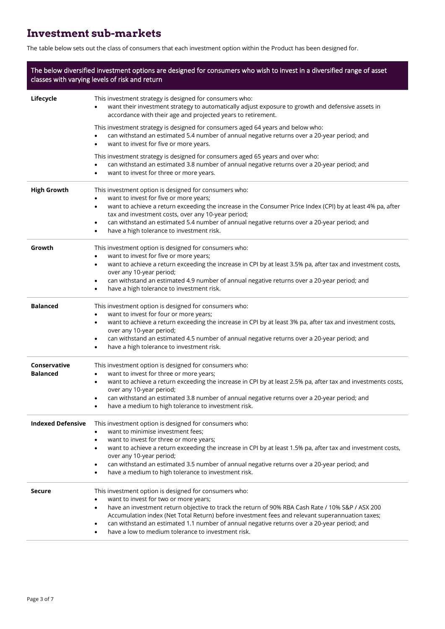#### **Investment sub-markets**

The table below sets out the class of consumers that each investment option within the Product has been designed for.

| The below diversified investment options are designed for consumers who wish to invest in a diversified range of asset<br>classes with varying levels of risk and return |                                                                                                                                                                                                                                                                                                                                                                                                                                                                                                   |
|--------------------------------------------------------------------------------------------------------------------------------------------------------------------------|---------------------------------------------------------------------------------------------------------------------------------------------------------------------------------------------------------------------------------------------------------------------------------------------------------------------------------------------------------------------------------------------------------------------------------------------------------------------------------------------------|
| Lifecycle                                                                                                                                                                | This investment strategy is designed for consumers who:<br>want their investment strategy to automatically adjust exposure to growth and defensive assets in<br>accordance with their age and projected years to retirement.                                                                                                                                                                                                                                                                      |
|                                                                                                                                                                          | This investment strategy is designed for consumers aged 64 years and below who:<br>can withstand an estimated 5.4 number of annual negative returns over a 20-year period; and<br>want to invest for five or more years.<br>$\bullet$                                                                                                                                                                                                                                                             |
|                                                                                                                                                                          | This investment strategy is designed for consumers aged 65 years and over who:<br>can withstand an estimated 3.8 number of annual negative returns over a 20-year period; and<br>$\bullet$<br>want to invest for three or more years.<br>٠                                                                                                                                                                                                                                                        |
| <b>High Growth</b>                                                                                                                                                       | This investment option is designed for consumers who:<br>want to invest for five or more years;<br>$\bullet$<br>want to achieve a return exceeding the increase in the Consumer Price Index (CPI) by at least 4% pa, after<br>$\bullet$<br>tax and investment costs, over any 10-year period;<br>can withstand an estimated 5.4 number of annual negative returns over a 20-year period; and<br>$\bullet$<br>have a high tolerance to investment risk.<br>$\bullet$                               |
| Growth                                                                                                                                                                   | This investment option is designed for consumers who:<br>want to invest for five or more years;<br>want to achieve a return exceeding the increase in CPI by at least 3.5% pa, after tax and investment costs,<br>$\bullet$<br>over any 10-year period;<br>can withstand an estimated 4.9 number of annual negative returns over a 20-year period; and<br>$\bullet$<br>have a high tolerance to investment risk.                                                                                  |
| <b>Balanced</b>                                                                                                                                                          | This investment option is designed for consumers who:<br>want to invest for four or more years;<br>$\bullet$<br>want to achieve a return exceeding the increase in CPI by at least 3% pa, after tax and investment costs,<br>$\bullet$<br>over any 10-year period;<br>can withstand an estimated 4.5 number of annual negative returns over a 20-year period; and<br>$\bullet$<br>have a high tolerance to investment risk.<br>$\bullet$                                                          |
| Conservative<br><b>Balanced</b>                                                                                                                                          | This investment option is designed for consumers who:<br>want to invest for three or more years;<br>want to achieve a return exceeding the increase in CPI by at least 2.5% pa, after tax and investments costs,<br>$\bullet$<br>over any 10-year period;<br>can withstand an estimated 3.8 number of annual negative returns over a 20-year period; and<br>have a medium to high tolerance to investment risk.<br>$\bullet$                                                                      |
| <b>Indexed Defensive</b>                                                                                                                                                 | This investment option is designed for consumers who:<br>want to minimise investment fees;<br>want to invest for three or more years;<br>$\bullet$<br>want to achieve a return exceeding the increase in CPI by at least 1.5% pa, after tax and investment costs,<br>$\bullet$<br>over any 10-year period;<br>can withstand an estimated 3.5 number of annual negative returns over a 20-year period; and<br>$\bullet$<br>have a medium to high tolerance to investment risk.<br>$\bullet$        |
| <b>Secure</b>                                                                                                                                                            | This investment option is designed for consumers who:<br>want to invest for two or more years;<br>have an investment return objective to track the return of 90% RBA Cash Rate / 10% S&P / ASX 200<br>$\bullet$<br>Accumulation index (Net Total Return) before investment fees and relevant superannuation taxes;<br>can withstand an estimated 1.1 number of annual negative returns over a 20-year period; and<br>$\bullet$<br>have a low to medium tolerance to investment risk.<br>$\bullet$ |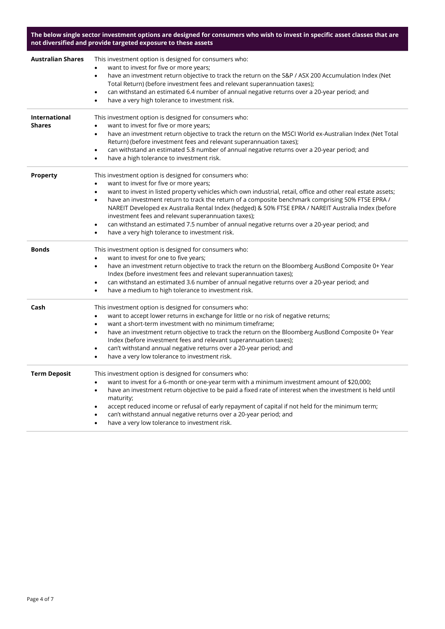**The below single sector investment options are designed for consumers who wish to invest in specific asset classes that are not diversified and provide targeted exposure to these assets**

| <b>Australian Shares</b> | This investment option is designed for consumers who:                                                                  |
|--------------------------|------------------------------------------------------------------------------------------------------------------------|
|                          | want to invest for five or more years;                                                                                 |
|                          | have an investment return objective to track the return on the S&P / ASX 200 Accumulation Index (Net<br>$\bullet$      |
|                          | Total Return) (before investment fees and relevant superannuation taxes);                                              |
|                          | can withstand an estimated 6.4 number of annual negative returns over a 20-year period; and<br>$\bullet$               |
|                          | have a very high tolerance to investment risk.<br>$\bullet$                                                            |
| <b>International</b>     | This investment option is designed for consumers who:                                                                  |
| <b>Shares</b>            | want to invest for five or more years;<br>٠                                                                            |
|                          | have an investment return objective to track the return on the MSCI World ex-Australian Index (Net Total<br>$\bullet$  |
|                          | Return) (before investment fees and relevant superannuation taxes);                                                    |
|                          | can withstand an estimated 5.8 number of annual negative returns over a 20-year period; and<br>$\bullet$               |
|                          | have a high tolerance to investment risk.<br>$\bullet$                                                                 |
| <b>Property</b>          | This investment option is designed for consumers who:                                                                  |
|                          | want to invest for five or more years;                                                                                 |
|                          | want to invest in listed property vehicles which own industrial, retail, office and other real estate assets;<br>٠     |
|                          | have an investment return to track the return of a composite benchmark comprising 50% FTSE EPRA /<br>$\bullet$         |
|                          | NAREIT Developed ex Australia Rental Index (hedged) & 50% FTSE EPRA / NAREIT Australia Index (before                   |
|                          | investment fees and relevant superannuation taxes);                                                                    |
|                          | can withstand an estimated 7.5 number of annual negative returns over a 20-year period; and<br>$\bullet$               |
|                          | have a very high tolerance to investment risk.<br>٠                                                                    |
| <b>Bonds</b>             | This investment option is designed for consumers who:                                                                  |
|                          | want to invest for one to five years;<br>$\bullet$                                                                     |
|                          | have an investment return objective to track the return on the Bloomberg AusBond Composite 0+ Year<br>$\bullet$        |
|                          | Index (before investment fees and relevant superannuation taxes);                                                      |
|                          | can withstand an estimated 3.6 number of annual negative returns over a 20-year period; and<br>٠                       |
|                          | have a medium to high tolerance to investment risk.<br>$\bullet$                                                       |
| Cash                     | This investment option is designed for consumers who:                                                                  |
|                          | want to accept lower returns in exchange for little or no risk of negative returns;<br>$\bullet$                       |
|                          | want a short-term investment with no minimum timeframe;<br>$\bullet$                                                   |
|                          | have an investment return objective to track the return on the Bloomberg AusBond Composite 0+ Year<br>$\bullet$        |
|                          | Index (before investment fees and relevant superannuation taxes);                                                      |
|                          | can't withstand annual negative returns over a 20-year period; and<br>٠                                                |
|                          | have a very low tolerance to investment risk.<br>$\bullet$                                                             |
| <b>Term Deposit</b>      | This investment option is designed for consumers who:                                                                  |
|                          | want to invest for a 6-month or one-year term with a minimum investment amount of \$20,000;<br>$\bullet$               |
|                          | have an investment return objective to be paid a fixed rate of interest when the investment is held until<br>$\bullet$ |
|                          | maturity;                                                                                                              |
|                          | accept reduced income or refusal of early repayment of capital if not held for the minimum term;                       |
|                          | can't withstand annual negative returns over a 20-year period; and                                                     |
|                          | have a very low tolerance to investment risk.                                                                          |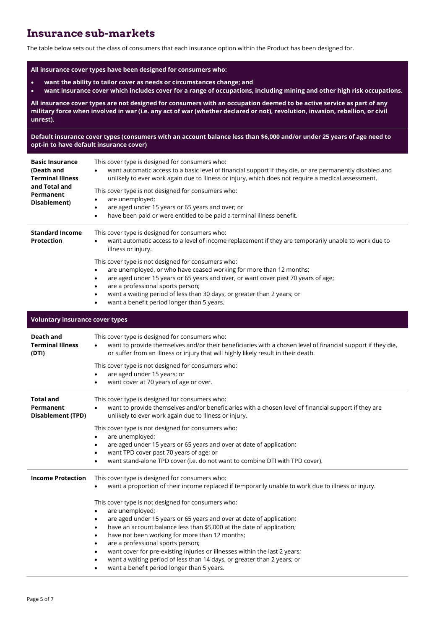#### **Insurance sub-markets**

The table below sets out the class of consumers that each insurance option within the Product has been designed for.

#### **All insurance cover types have been designed for consumers who:**

- **want the ability to tailor cover as needs or circumstances change; and**
- **want insurance cover which includes cover for a range of occupations, including mining and other high risk occupations.**

**All insurance cover types are not designed for consumers with an occupation deemed to be active service as part of any military force when involved in war (i.e. any act of war (whether declared or not), revolution, invasion, rebellion, or civil unrest).**

**Default insurance cover types (consumers with an account balance less than \$6,000 and/or under 25 years of age need to opt-in to have default insurance cover)**

| <b>Basic Insurance</b><br>(Death and<br><b>Terminal Illness</b><br>and Total and<br>Permanent<br>Disablement) | This cover type is designed for consumers who:<br>want automatic access to a basic level of financial support if they die, or are permanently disabled and<br>unlikely to ever work again due to illness or injury, which does not require a medical assessment.<br>This cover type is not designed for consumers who:<br>are unemployed;<br>$\bullet$<br>are aged under 15 years or 65 years and over; or<br>$\bullet$<br>have been paid or were entitled to be paid a terminal illness benefit.<br>$\bullet$ |
|---------------------------------------------------------------------------------------------------------------|----------------------------------------------------------------------------------------------------------------------------------------------------------------------------------------------------------------------------------------------------------------------------------------------------------------------------------------------------------------------------------------------------------------------------------------------------------------------------------------------------------------|
| <b>Standard Income</b><br><b>Protection</b>                                                                   | This cover type is designed for consumers who:<br>want automatic access to a level of income replacement if they are temporarily unable to work due to<br>illness or injury.                                                                                                                                                                                                                                                                                                                                   |
|                                                                                                               | This cover type is not designed for consumers who:<br>are unemployed, or who have ceased working for more than 12 months;<br>are aged under 15 years or 65 years and over, or want cover past 70 years of age;<br>$\bullet$<br>are a professional sports person;<br>٠<br>want a waiting period of less than 30 days, or greater than 2 years; or<br>$\bullet$<br>want a benefit period longer than 5 years.                                                                                                    |
| <b>Voluntary insurance cover types</b>                                                                        |                                                                                                                                                                                                                                                                                                                                                                                                                                                                                                                |
| Death and<br><b>Terminal Illness</b><br>(DTI)                                                                 | This cover type is designed for consumers who:<br>want to provide themselves and/or their beneficiaries with a chosen level of financial support if they die,<br>or suffer from an illness or injury that will highly likely result in their death.                                                                                                                                                                                                                                                            |
|                                                                                                               | This cover type is not designed for consumers who:<br>are aged under 15 years; or<br>٠<br>want cover at 70 years of age or over.                                                                                                                                                                                                                                                                                                                                                                               |
| <b>Total and</b><br>Permanent<br><b>Disablement (TPD)</b>                                                     | This cover type is designed for consumers who:<br>want to provide themselves and/or beneficiaries with a chosen level of financial support if they are<br>$\bullet$<br>unlikely to ever work again due to illness or injury.                                                                                                                                                                                                                                                                                   |
|                                                                                                               | This cover type is not designed for consumers who:<br>are unemployed;<br>$\bullet$                                                                                                                                                                                                                                                                                                                                                                                                                             |
|                                                                                                               | are aged under 15 years or 65 years and over at date of application;<br>٠<br>want TPD cover past 70 years of age; or<br>٠                                                                                                                                                                                                                                                                                                                                                                                      |
|                                                                                                               | want stand-alone TPD cover (i.e. do not want to combine DTI with TPD cover).                                                                                                                                                                                                                                                                                                                                                                                                                                   |
| <b>Income Protection</b>                                                                                      | This cover type is designed for consumers who:<br>want a proportion of their income replaced if temporarily unable to work due to illness or injury.<br>٠                                                                                                                                                                                                                                                                                                                                                      |
|                                                                                                               | This cover type is not designed for consumers who:<br>are unemployed;                                                                                                                                                                                                                                                                                                                                                                                                                                          |
|                                                                                                               | are aged under 15 years or 65 years and over at date of application;<br>have an account balance less than \$5,000 at the date of application;                                                                                                                                                                                                                                                                                                                                                                  |
|                                                                                                               | have not been working for more than 12 months;<br>are a professional sports person;                                                                                                                                                                                                                                                                                                                                                                                                                            |
|                                                                                                               | want cover for pre-existing injuries or illnesses within the last 2 years;<br>want a waiting period of less than 14 days, or greater than 2 years; or<br>want a benefit period longer than 5 years.                                                                                                                                                                                                                                                                                                            |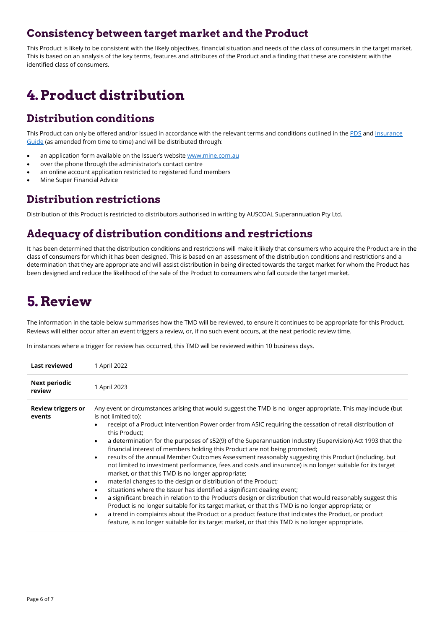#### **Consistency between target market and the Product**

This Product is likely to be consistent with the likely objectives, financial situation and needs of the class of consumers in the target market. This is based on an analysis of the key terms, features and attributes of the Product and a finding that these are consistent with the identified class of consumers.

### **4.Product distribution**

#### **Distribution conditions**

This Product can only be offered and/or issued in accordance with the relevant terms and conditions outlined in the [PDS](https://www.mine.com.au/docs/default-source/publications/super-pds-plus-info-sheets.pdf?sfvrsn=9d89f63c_46) and [Insurance](https://www.mine.com.au/docs/default-source/publications/super-insurance-guide.pdf?sfvrsn=b8acf63c_20) [Guide](https://www.mine.com.au/docs/default-source/publications/super-insurance-guide.pdf?sfvrsn=b8acf63c_20) (as amended from time to time) and will be distributed through:

- an application form available on the Issuer's website [www.mine.com.au](http://www.mine.com.au/)
- over the phone through the administrator's contact centre
- an online account application restricted to registered fund members
- Mine Super Financial Advice

#### **Distribution restrictions**

Distribution of this Product is restricted to distributors authorised in writing by AUSCOAL Superannuation Pty Ltd.

### **Adequacy of distribution conditions and restrictions**

It has been determined that the distribution conditions and restrictions will make it likely that consumers who acquire the Product are in the class of consumers for which it has been designed. This is based on an assessment of the distribution conditions and restrictions and a determination that they are appropriate and will assist distribution in being directed towards the target market for whom the Product has been designed and reduce the likelihood of the sale of the Product to consumers who fall outside the target market.

### **5.Review**

The information in the table below summarises how the TMD will be reviewed, to ensure it continues to be appropriate for this Product. Reviews will either occur after an event triggers a review, or, if no such event occurs, at the next periodic review time.

In instances where a trigger for review has occurred, this TMD will be reviewed within 10 business days.

| <b>Last reviewed</b>                | 1 April 2022                                                                                                                                                                                                                  |
|-------------------------------------|-------------------------------------------------------------------------------------------------------------------------------------------------------------------------------------------------------------------------------|
| Next periodic<br>review             | 1 April 2023                                                                                                                                                                                                                  |
| <b>Review triggers or</b><br>events | Any event or circumstances arising that would suggest the TMD is no longer appropriate. This may include (but<br>is not limited to):                                                                                          |
|                                     | receipt of a Product Intervention Power order from ASIC requiring the cessation of retail distribution of<br>٠<br>this Product;                                                                                               |
|                                     | a determination for the purposes of s52(9) of the Superannuation Industry (Supervision) Act 1993 that the<br>$\bullet$<br>financial interest of members holding this Product are not being promoted;                          |
|                                     | results of the annual Member Outcomes Assessment reasonably suggesting this Product (including, but<br>$\bullet$<br>not limited to investment performance, fees and costs and insurance) is no longer suitable for its target |
|                                     | market, or that this TMD is no longer appropriate;<br>material changes to the design or distribution of the Product;<br>$\bullet$                                                                                             |
|                                     | situations where the Issuer has identified a significant dealing event;<br>$\bullet$                                                                                                                                          |
|                                     | a significant breach in relation to the Product's design or distribution that would reasonably suggest this<br>$\bullet$                                                                                                      |
|                                     | Product is no longer suitable for its target market, or that this TMD is no longer appropriate; or                                                                                                                            |
|                                     | a trend in complaints about the Product or a product feature that indicates the Product, or product<br>$\bullet$<br>feature, is no longer suitable for its target market, or that this TMD is no longer appropriate.          |